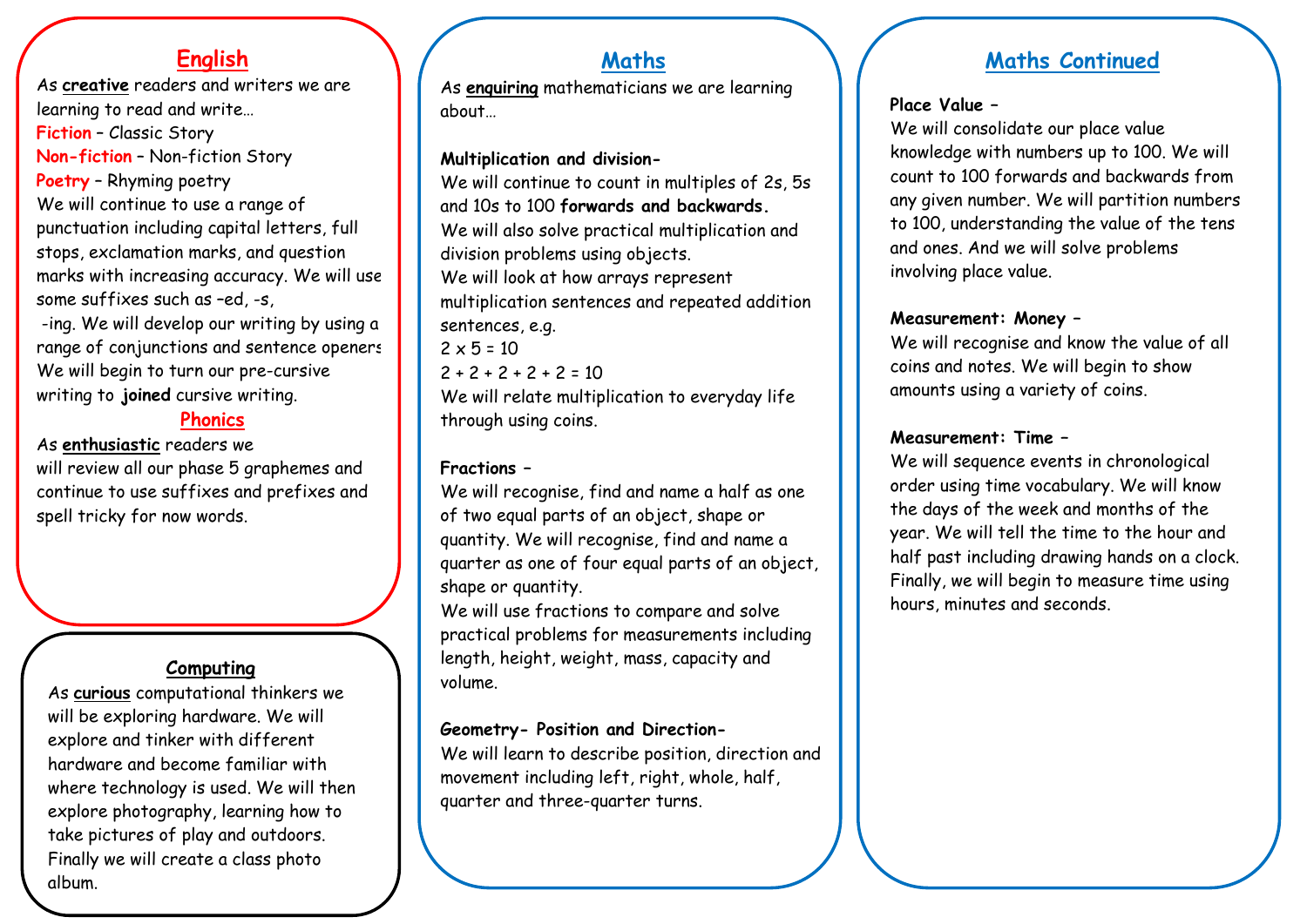## **English**

As **creative** readers and writers we are learning to read and write… **Fiction** – Classic Story **Non-fiction** – Non-fiction Story **Poetry** – Rhyming poetry We will continue to use a range of punctuation including capital letters, full stops, exclamation marks, and question marks with increasing accuracy. We will use some suffixes such as –ed, -s,

-ing. We will develop our writing by using a range of conjunctions and sentence openers. We will begin to turn our pre-cursive writing to **joined** cursive writing.

#### **Phonics**

As **enthusiastic** readers we will review all our phase 5 graphemes and continue to use suffixes and prefixes and spell tricky for now words.

### **Computing**

As **curious** computational thinkers we will be exploring hardware. We will explore and tinker with different hardware and become familiar with where technology is used. We will then explore photography, learning how to take pictures of play and outdoors. Finally we will create a class photo album.

# **Maths**

As **enquiring** mathematicians we are learning about…

#### **Multiplication and division-**

We will continue to count in multiples of 2s, 5s and 10s to 100 **forwards and backwards.** We will also solve practical multiplication and division problems using objects. We will look at how arrays represent multiplication sentences and repeated addition sentences, e.g.  $2 \times 5 = 10$  $2 + 2 + 2 + 2 + 2 = 10$ We will relate multiplication to everyday life through using coins.

#### **Fractions –**

We will recognise, find and name a half as one of two equal parts of an object, shape or quantity. We will recognise, find and name a quarter as one of four equal parts of an object, shape or quantity.

We will use fractions to compare and solve practical problems for measurements including length, height, weight, mass, capacity and volume.

#### **Geometry- Position and Direction-**

We will learn to describe position, direction and movement including left, right, whole, half, quarter and three-quarter turns.

# **Maths Continued**

#### **Place Value –**

We will consolidate our place value knowledge with numbers up to 100. We will count to 100 forwards and backwards from any given number. We will partition numbers to 100, understanding the value of the tens and ones. And we will solve problems involving place value.

#### **Measurement: Money –**

We will recognise and know the value of all coins and notes. We will begin to show amounts using a variety of coins.

#### **Measurement: Time –**

We will sequence events in chronological order using time vocabulary. We will know the days of the week and months of the year. We will tell the time to the hour and half past including drawing hands on a clock. Finally, we will begin to measure time using hours, minutes and seconds.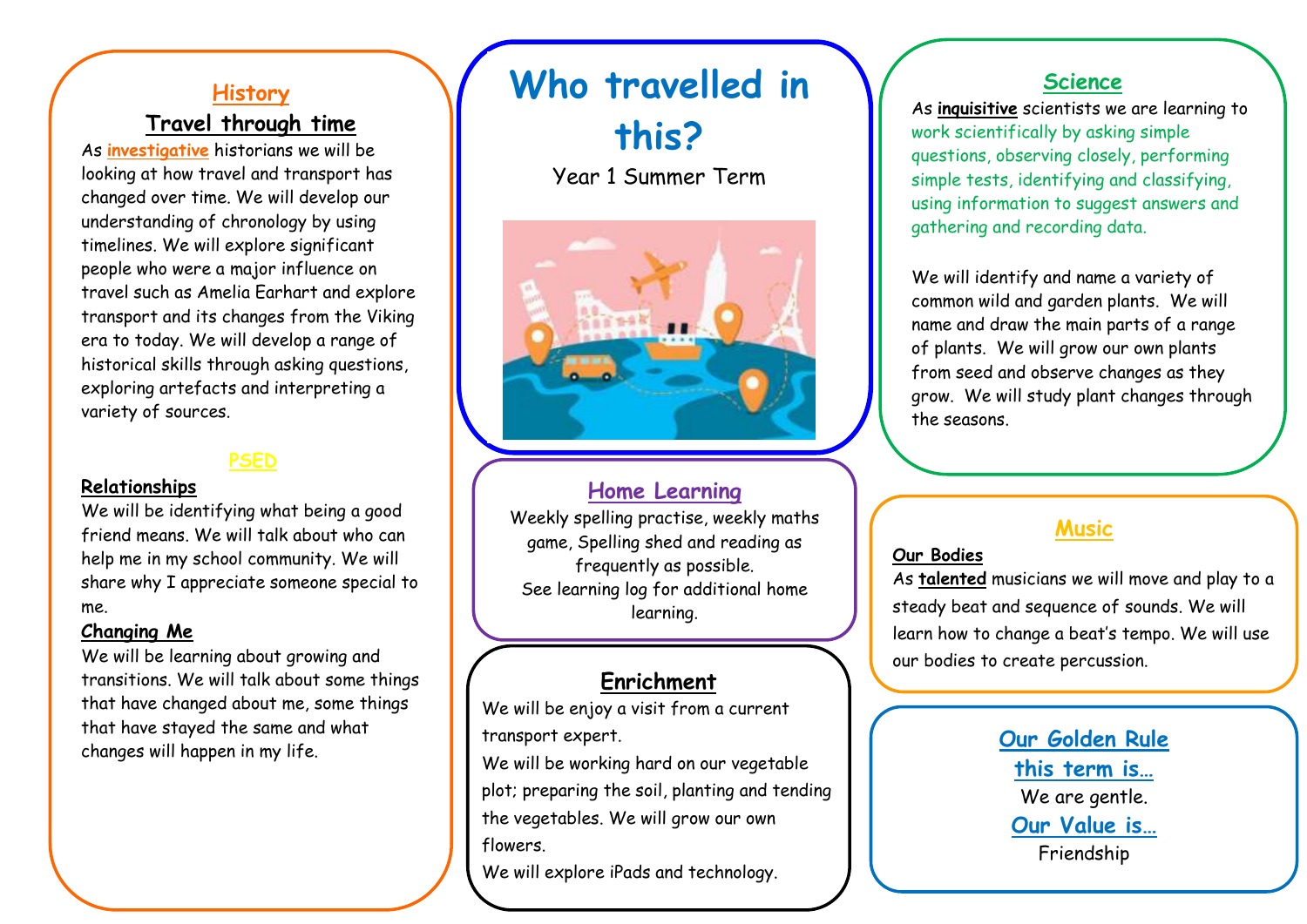## **History**

## **Travel through time**

As **investigative** historians we will be looking at how travel and transport has changed over time. We will develop our understanding of chronology by using timelines. We will explore significant people who were a major influence on travel such as Amelia Earhart and explore transport and its changes from the Viking era to today. We will develop a range of historical skills through asking questions, exploring artefacts and interpreting a variety of sources.

#### **PSED**

#### **Relationships**

We will be identifying what being a good friend means. We will talk about who can help me in my school community. We will share why I appreciate someone special to me.

#### **Changing Me**

We will be learning about growing and transitions. We will talk about some things that have changed about me, some things that have stayed the same and what changes will happen in my life.

# **Who travelled in**

**this?**

Year 1 Summer Term



#### **Home Learning**

Weekly spelling practise, weekly maths game, Spelling shed and reading as frequently as possible. See learning log for additional home learning.

## **Enrichment**

We will be enjoy a visit from a current transport expert.

We will be working hard on our vegetable plot; preparing the soil, planting and tending the vegetables. We will grow our own flowers.

We will explore iPads and technology.

## **Science**

As **inquisitive** scientists we are learning to work scientifically by asking simple questions, observing closely, performing simple tests, identifying and classifying, using information to suggest answers and gathering and recording data.

We will identify and name a variety of common wild and garden plants. We will name and draw the main parts of a range of plants. We will grow our own plants from seed and observe changes as they grow. We will study plant changes through the seasons.

## **Music**

#### **Our Bodies**

As **talented** musicians we will move and play to a steady beat and sequence of sounds. We will learn how to change a beat's tempo. We will use our bodies to create percussion.

> **Our Golden Rule this term is…** We are gentle. **Our Value is…** Friendship